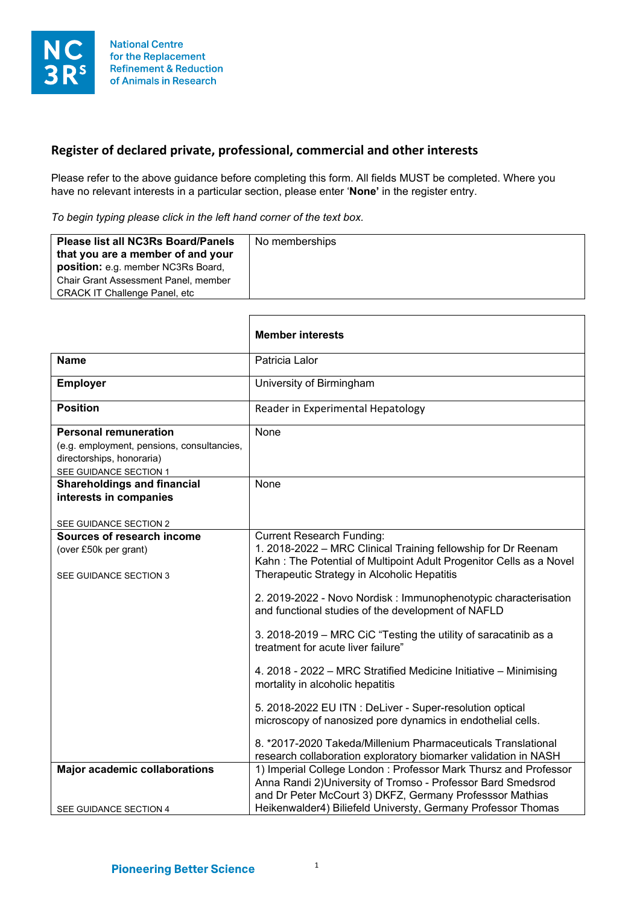

## **Register of declared private, professional, commercial and other interests**

Please refer to the above guidance before completing this form. All fields MUST be completed. Where you have no relevant interests in a particular section, please enter '**None'** in the register entry.

*To begin typing please click in the left hand corner of the text box.*

| <b>Please list all NC3Rs Board/Panels</b><br>that you are a member of and your<br>position: e.g. member NC3Rs Board,<br>Chair Grant Assessment Panel, member<br><b>CRACK IT Challenge Panel, etc.</b> | No memberships |
|-------------------------------------------------------------------------------------------------------------------------------------------------------------------------------------------------------|----------------|
|-------------------------------------------------------------------------------------------------------------------------------------------------------------------------------------------------------|----------------|

|                                                                                                                                   | <b>Member interests</b>                                                                                                                                                                                                                                     |
|-----------------------------------------------------------------------------------------------------------------------------------|-------------------------------------------------------------------------------------------------------------------------------------------------------------------------------------------------------------------------------------------------------------|
| <b>Name</b>                                                                                                                       | Patricia Lalor                                                                                                                                                                                                                                              |
| <b>Employer</b>                                                                                                                   | University of Birmingham                                                                                                                                                                                                                                    |
| <b>Position</b>                                                                                                                   | Reader in Experimental Hepatology                                                                                                                                                                                                                           |
| <b>Personal remuneration</b><br>(e.g. employment, pensions, consultancies,<br>directorships, honoraria)<br>SEE GUIDANCE SECTION 1 | None                                                                                                                                                                                                                                                        |
| <b>Shareholdings and financial</b><br>interests in companies<br>SEE GUIDANCE SECTION 2                                            | None                                                                                                                                                                                                                                                        |
| Sources of research income<br>(over £50k per grant)<br>SEE GUIDANCE SECTION 3                                                     | <b>Current Research Funding:</b><br>1. 2018-2022 - MRC Clinical Training fellowship for Dr Reenam<br>Kahn: The Potential of Multipoint Adult Progenitor Cells as a Novel<br>Therapeutic Strategy in Alcoholic Hepatitis                                     |
|                                                                                                                                   | 2. 2019-2022 - Novo Nordisk: Immunophenotypic characterisation<br>and functional studies of the development of NAFLD<br>3. 2018-2019 - MRC CiC "Testing the utility of saracatinib as a<br>treatment for acute liver failure"                               |
|                                                                                                                                   | 4. 2018 - 2022 - MRC Stratified Medicine Initiative - Minimising<br>mortality in alcoholic hepatitis<br>5. 2018-2022 EU ITN : DeLiver - Super-resolution optical<br>microscopy of nanosized pore dynamics in endothelial cells.                             |
|                                                                                                                                   | 8. *2017-2020 Takeda/Millenium Pharmaceuticals Translational<br>research collaboration exploratory biomarker validation in NASH                                                                                                                             |
| <b>Major academic collaborations</b><br>SEE GUIDANCE SECTION 4                                                                    | 1) Imperial College London: Professor Mark Thursz and Professor<br>Anna Randi 2) University of Tromso - Professor Bard Smedsrod<br>and Dr Peter McCourt 3) DKFZ, Germany Professsor Mathias<br>Heikenwalder4) Biliefeld Universty, Germany Professor Thomas |
|                                                                                                                                   |                                                                                                                                                                                                                                                             |